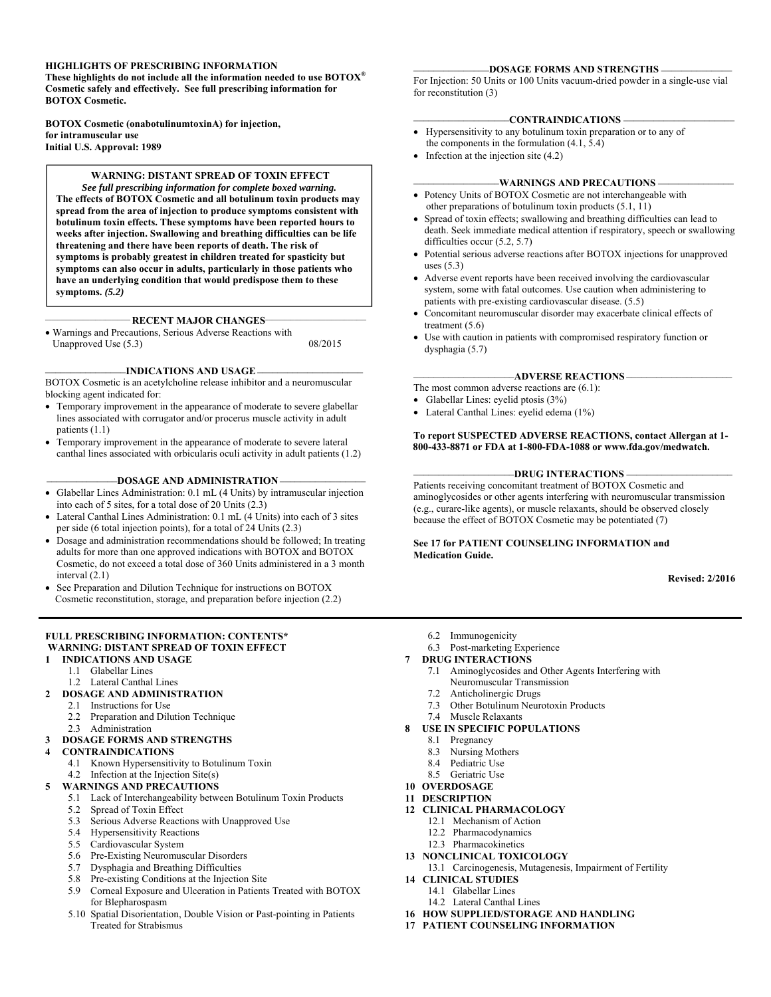#### **HIGHLIGHTS OF PRESCRIBING INFORMATION**

**These highlights do not include all the information needed to use BOTOX® Cosmetic safely and effectively. See full prescribing information for BOTOX Cosmetic.** 

**BOTOX Cosmetic (onabotulinumtoxinA) for injection, for intramuscular use Initial U.S. Approval: 1989** 

 **WARNING: DISTANT SPREAD OF TOXIN EFFECT**  *See full prescribing information for complete boxed warning.*  **The effects of BOTOX Cosmetic and all botulinum toxin products may spread from the area of injection to produce symptoms consistent with botulinum toxin effects. These symptoms have been reported hours to weeks after injection. Swallowing and breathing difficulties can be life threatening and there have been reports of death. The risk of symptoms is probably greatest in children treated for spasticity but symptoms can also occur in adults, particularly in those patients who have an underlying condition that would predispose them to these symptoms.** *(5.2)* 

# **RECENT MAJOR CHANGES-**

 Warnings and Precautions, Serious Adverse Reactions with Unapproved Use (5.3) 08/2015

#### \_\_\_\_\_\_\_\_\_\_\_\_\_\_\_\_**INDICATIONS AND USAGE**\_\_\_\_\_\_\_\_\_\_\_\_\_\_\_\_\_\_\_\_\_

BOTOX Cosmetic is an acetylcholine release inhibitor and a neuromuscular blocking agent indicated for:

- Temporary improvement in the appearance of moderate to severe glabellar lines associated with corrugator and/or procerus muscle activity in adult patients (1.1)
- Temporary improvement in the appearance of moderate to severe lateral canthal lines associated with orbicularis oculi activity in adult patients (1.2)

#### \_\_\_\_\_\_\_\_\_\_\_\_\_\_**DOSAGE AND ADMINISTRATION** \_\_\_\_\_\_\_\_\_\_\_\_\_\_\_\_\_

- Glabellar Lines Administration: 0.1 mL (4 Units) by intramuscular injection into each of 5 sites, for a total dose of 20 Units (2.3)
- Lateral Canthal Lines Administration: 0.1 mL (4 Units) into each of 3 sites per side (6 total injection points), for a total of 24 Units (2.3)
- Dosage and administration recommendations should be followed; In treating adults for more than one approved indications with BOTOX and BOTOX Cosmetic, do not exceed a total dose of 360 Units administered in a 3 month interval (2.1)
- See Preparation and Dilution Technique for instructions on BOTOX Cosmetic reconstitution, storage, and preparation before injection (2.2)

#### **FULL PRESCRIBING INFORMATION: CONTENTS\* WARNING: DISTANT SPREAD OF TOXIN EFFECT**

# **1 INDICATIONS AND USAGE**

- 1.1 Glabellar Lines
- 1.2 Lateral Canthal Lines

#### **2 DOSAGE AND ADMINISTRATION**

- 2.1 Instructions for Use
	- 2.2 Preparation and Dilution Technique
	- 2.3 Administration
- **3 DOSAGE FORMS AND STRENGTHS**

#### **4 CONTRAINDICATIONS**

- 4.1 Known Hypersensitivity to Botulinum Toxin 4.2 Infection at the Injection Site(s)
- **5 WARNINGS AND PRECAUTIONS** 
	- 5.1 Lack of Interchangeability between Botulinum Toxin Products
	- 5.2 Spread of Toxin Effect
	- 5.3 Serious Adverse Reactions with Unapproved Use
	- 5.4 Hypersensitivity Reactions
	- 5.5 Cardiovascular System
	- 5.6 Pre-Existing Neuromuscular Disorders
	- 5.7 Dysphagia and Breathing Difficulties
	- 5.8 Pre-existing Conditions at the Injection Site
	- 5.9 Corneal Exposure and Ulceration in Patients Treated with BOTOX for Blepharospasm
	- 5.10 Spatial Disorientation, Double Vision or Past-pointing in Patients Treated for Strabismus

#### \_\_\_\_\_\_\_\_\_\_\_\_\_\_\_**DOSAGE FORMS AND STRENGTHS** \_\_\_\_\_\_\_\_\_\_\_\_\_\_

For Injection: 50 Units or 100 Units vacuum-dried powder in a single-use vial for reconstitution (3)

#### \_\_\_\_\_\_\_\_\_\_\_\_\_\_\_\_\_\_\_**CONTRAINDICATIONS** \_\_\_\_\_\_\_\_\_\_\_\_\_\_\_\_\_\_\_\_\_\_

- Hypersensitivity to any botulinum toxin preparation or to any of the components in the formulation  $(4.1, 5.4)$
- $\bullet$  Infection at the injection site (4.2)

#### \_\_\_\_\_\_\_\_\_\_\_\_\_\_\_\_\_**WARNINGS AND PRECAUTIONS** \_\_\_\_\_\_\_\_\_\_\_\_\_\_\_

- Potency Units of BOTOX Cosmetic are not interchangeable with other preparations of botulinum toxin products  $(5.1, 11)$
- Spread of toxin effects; swallowing and breathing difficulties can lead to death. Seek immediate medical attention if respiratory, speech or swallowing difficulties occur  $(5.2, 5.7)$
- Potential serious adverse reactions after BOTOX injections for unapproved uses (5.3)
- Adverse event reports have been received involving the cardiovascular system, some with fatal outcomes. Use caution when administering to patients with pre-existing cardiovascular disease. (5.5)
- Concomitant neuromuscular disorder may exacerbate clinical effects of treatment (5.6)
- Use with caution in patients with compromised respiratory function or dysphagia (5.7)

#### \_\_\_\_\_\_\_\_\_\_\_\_\_\_\_\_\_\_\_\_**ADVERSE REACTIONS** \_\_\_\_\_\_\_\_\_\_\_\_\_\_\_\_\_\_\_\_\_

The most common adverse reactions are (6.1):

- Glabellar Lines: eyelid ptosis (3%)
- Lateral Canthal Lines: eyelid edema (1%)

#### **To report SUSPECTED ADVERSE REACTIONS, contact Allergan at 1- 800-433-8871 or FDA at 1-800-FDA-1088 or www.fda.gov/medwatch.**

#### \_\_\_\_\_\_\_\_\_\_\_\_\_\_\_\_\_\_\_\_**DRUG INTERACTIONS** \_\_\_\_\_\_\_\_\_\_\_\_\_\_\_\_\_\_\_\_\_

Patients receiving concomitant treatment of BOTOX Cosmetic and aminoglycosides or other agents interfering with neuromuscular transmission (e.g., curare-like agents), or muscle relaxants, should be observed closely because the effect of BOTOX Cosmetic may be potentiated (7)

#### **See 17 for PATIENT COUNSELING INFORMATION and Medication Guide.**

**Revised: 2/2016** 

- 6.2 Immunogenicity
- 6.3 Post-marketing Experience
- **7 DRUG INTERACTIONS** 
	- 7.1 Aminoglycosides and Other Agents Interfering with Neuromuscular Transmission<br>72 Anticholinergic Drugs
	- Anticholinergic Drugs
	- 7.3 Other Botulinum Neurotoxin Products
	- 7.4 Muscle Relaxants
- **8 USE IN SPECIFIC POPULATIONS** 
	- 8.1 Pregnancy
	- 8.3 Nursing Mothers
	- 8.4 Pediatric Use
	- 8.5 Geriatric Use
- **10 OVERDOSAGE**
- **11 DESCRIPTION**
- **12 CLINICAL PHARMACOLOGY** 
	- 12.1 Mechanism of Action
	- 12.2 Pharmacodynamics
	- 12.3 Pharmacokinetics
- **13 NONCLINICAL TOXICOLOGY** 
	- 13.1 Carcinogenesis, Mutagenesis, Impairment of Fertility
- **14 CLINICAL STUDIES** 
	- 14.1 Glabellar Lines 14.2 Lateral Canthal Lines
	-
- **16 HOW SUPPLIED/STORAGE AND HANDLING**
- **17 PATIENT COUNSELING INFORMATION**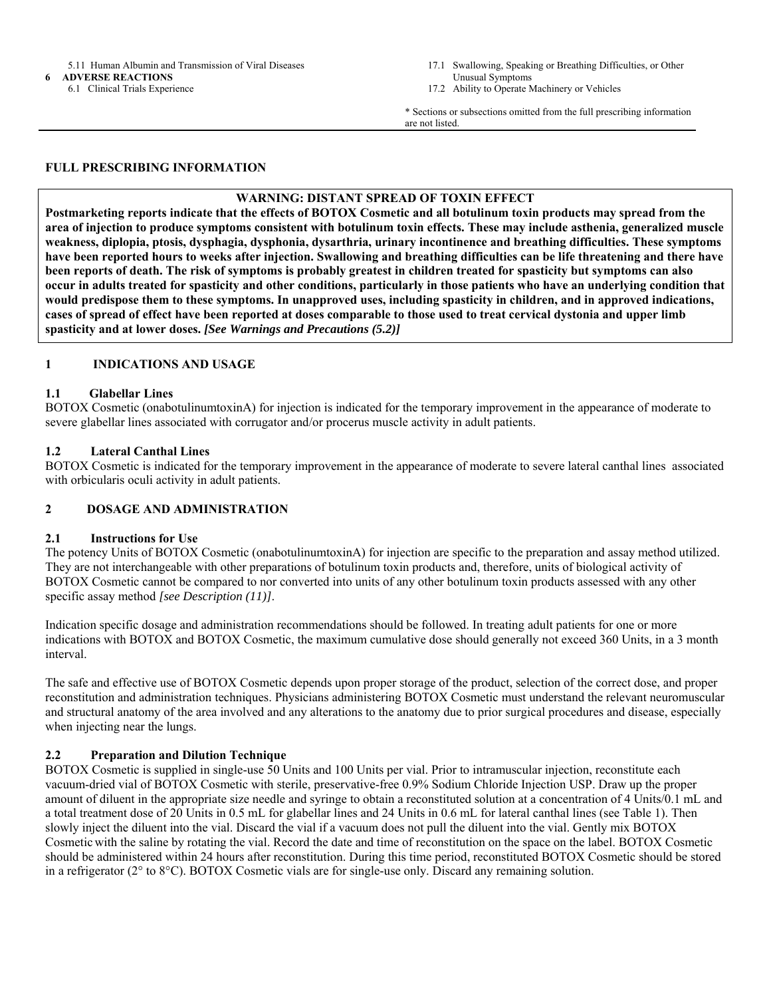5.11 Human Albumin and Transmission of Viral Diseases

- **6 ADVERSE REACTIONS** 
	- 6.1 Clinical Trials Experience

17.1 Swallowing, Speaking or Breathing Difficulties, or Other Unusual Symptoms

17.2 Ability to Operate Machinery or Vehicles

\* Sections or subsections omitted from the full prescribing information are not listed.

# **FULL PRESCRIBING INFORMATION**

# **WARNING: DISTANT SPREAD OF TOXIN EFFECT**

**Postmarketing reports indicate that the effects of BOTOX Cosmetic and all botulinum toxin products may spread from the area of injection to produce symptoms consistent with botulinum toxin effects. These may include asthenia, generalized muscle weakness, diplopia, ptosis, dysphagia, dysphonia, dysarthria, urinary incontinence and breathing difficulties. These symptoms have been reported hours to weeks after injection. Swallowing and breathing difficulties can be life threatening and there have been reports of death. The risk of symptoms is probably greatest in children treated for spasticity but symptoms can also occur in adults treated for spasticity and other conditions, particularly in those patients who have an underlying condition that would predispose them to these symptoms. In unapproved uses, including spasticity in children, and in approved indications, cases of spread of effect have been reported at doses comparable to those used to treat cervical dystonia and upper limb spasticity and at lower doses.** *[See Warnings and Precautions (5.2)]*

#### **1 INDICATIONS AND USAGE**

# **1.1 Glabellar Lines**

BOTOX Cosmetic (onabotulinumtoxinA) for injection is indicated for the temporary improvement in the appearance of moderate to severe glabellar lines associated with corrugator and/or procerus muscle activity in adult patients.

#### **1.2 Lateral Canthal Lines**

BOTOX Cosmetic is indicated for the temporary improvement in the appearance of moderate to severe lateral canthal lines associated with orbicularis oculi activity in adult patients.

# **2 DOSAGE AND ADMINISTRATION**

#### **2.1 Instructions for Use**

The potency Units of BOTOX Cosmetic (onabotulinumtoxinA) for injection are specific to the preparation and assay method utilized. They are not interchangeable with other preparations of botulinum toxin products and, therefore, units of biological activity of BOTOX Cosmetic cannot be compared to nor converted into units of any other botulinum toxin products assessed with any other specific assay method *[see Description (11)]*.

Indication specific dosage and administration recommendations should be followed. In treating adult patients for one or more indications with BOTOX and BOTOX Cosmetic, the maximum cumulative dose should generally not exceed 360 Units, in a 3 month interval.

The safe and effective use of BOTOX Cosmetic depends upon proper storage of the product, selection of the correct dose, and proper reconstitution and administration techniques. Physicians administering BOTOX Cosmetic must understand the relevant neuromuscular and structural anatomy of the area involved and any alterations to the anatomy due to prior surgical procedures and disease, especially when injecting near the lungs.

# **2.2 Preparation and Dilution Technique**

BOTOX Cosmetic is supplied in single-use 50 Units and 100 Units per vial. Prior to intramuscular injection, reconstitute each vacuum-dried vial of BOTOX Cosmetic with sterile, preservative-free 0.9% Sodium Chloride Injection USP. Draw up the proper amount of diluent in the appropriate size needle and syringe to obtain a reconstituted solution at a concentration of 4 Units/0.1 mL and a total treatment dose of 20 Units in 0.5 mL for glabellar lines and 24 Units in 0.6 mL for lateral canthal lines (see Table 1). Then slowly inject the diluent into the vial. Discard the vial if a vacuum does not pull the diluent into the vial. Gently mix BOTOX Cosmetic with the saline by rotating the vial. Record the date and time of reconstitution on the space on the label. BOTOX Cosmetic should be administered within 24 hours after reconstitution. During this time period, reconstituted BOTOX Cosmetic should be stored in a refrigerator (2° to 8°C). BOTOX Cosmetic vials are for single-use only. Discard any remaining solution.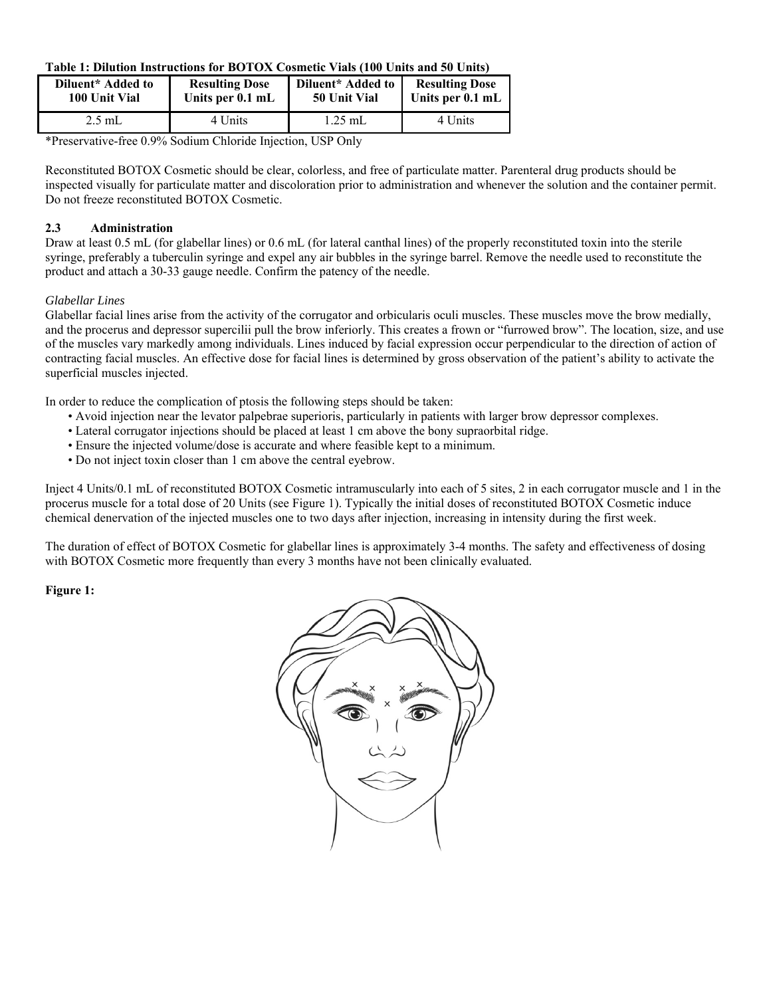#### **Table 1: Dilution Instructions for BOTOX Cosmetic Vials (100 Units and 50 Units)**

| Diluent* Added to | <b>Resulting Dose</b> |                   | <b>Resulting Dose</b> |
|-------------------|-----------------------|-------------------|-----------------------|
| 100 Unit Vial     | Units per 0.1 mL      |                   | Units per 0.1 mL      |
| $2.5$ mL          | 4 Units               | $1.25 \text{ mL}$ | 4 Units               |

\*Preservative-free 0.9% Sodium Chloride Injection, USP Only

Reconstituted BOTOX Cosmetic should be clear, colorless, and free of particulate matter. Parenteral drug products should be inspected visually for particulate matter and discoloration prior to administration and whenever the solution and the container permit. Do not freeze reconstituted BOTOX Cosmetic.

# **2.3 Administration**

Draw at least 0.5 mL (for glabellar lines) or 0.6 mL (for lateral canthal lines) of the properly reconstituted toxin into the sterile syringe, preferably a tuberculin syringe and expel any air bubbles in the syringe barrel. Remove the needle used to reconstitute the product and attach a 30-33 gauge needle. Confirm the patency of the needle.

# *Glabellar Lines*

Glabellar facial lines arise from the activity of the corrugator and orbicularis oculi muscles. These muscles move the brow medially, and the procerus and depressor supercilii pull the brow inferiorly. This creates a frown or "furrowed brow". The location, size, and use of the muscles vary markedly among individuals. Lines induced by facial expression occur perpendicular to the direction of action of contracting facial muscles. An effective dose for facial lines is determined by gross observation of the patient's ability to activate the superficial muscles injected.

In order to reduce the complication of ptosis the following steps should be taken:

- Avoid injection near the levator palpebrae superioris, particularly in patients with larger brow depressor complexes.
- Lateral corrugator injections should be placed at least 1 cm above the bony supraorbital ridge.
- Ensure the injected volume/dose is accurate and where feasible kept to a minimum.
- Do not inject toxin closer than 1 cm above the central eyebrow.

Inject 4 Units/0.1 mL of reconstituted BOTOX Cosmetic intramuscularly into each of 5 sites, 2 in each corrugator muscle and 1 in the procerus muscle for a total dose of 20 Units (see Figure 1). Typically the initial doses of reconstituted BOTOX Cosmetic induce chemical denervation of the injected muscles one to two days after injection, increasing in intensity during the first week.

The duration of effect of BOTOX Cosmetic for glabellar lines is approximately 3-4 months. The safety and effectiveness of dosing with BOTOX Cosmetic more frequently than every 3 months have not been clinically evaluated.

# **Figure 1:**

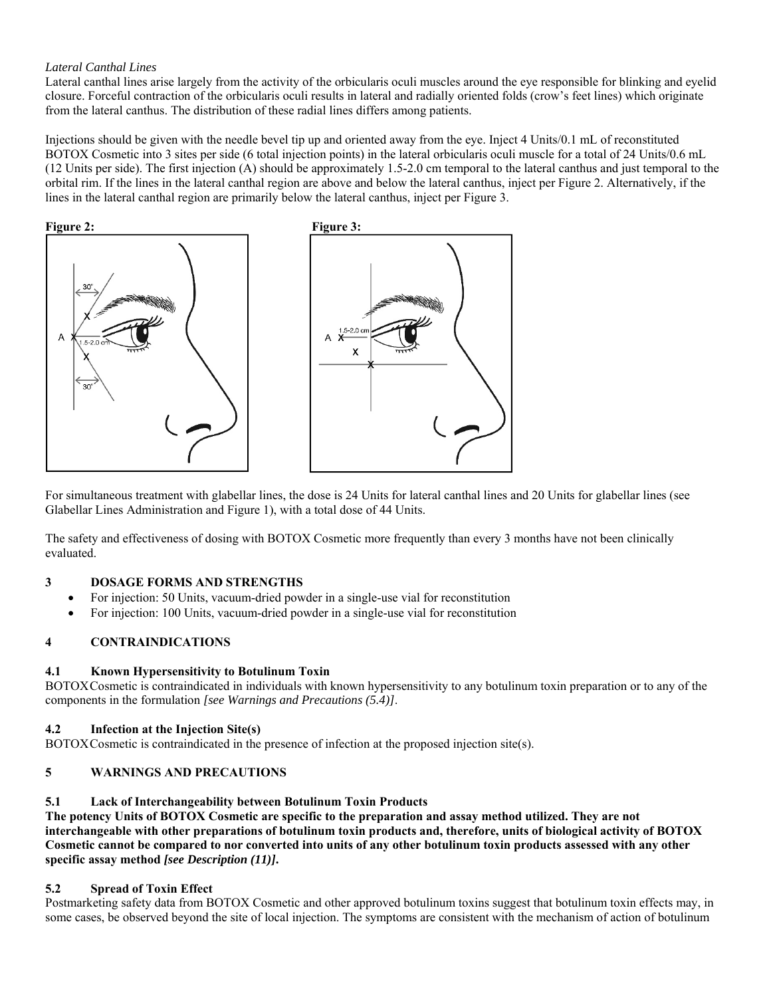# *Lateral Canthal Lines*

Lateral canthal lines arise largely from the activity of the orbicularis oculi muscles around the eye responsible for blinking and eyelid closure. Forceful contraction of the orbicularis oculi results in lateral and radially oriented folds (crow's feet lines) which originate from the lateral canthus. The distribution of these radial lines differs among patients.

Injections should be given with the needle bevel tip up and oriented away from the eye. Inject 4 Units/0.1 mL of reconstituted BOTOX Cosmetic into 3 sites per side (6 total injection points) in the lateral orbicularis oculi muscle for a total of 24 Units/0.6 mL (12 Units per side). The first injection (A) should be approximately 1.5-2.0 cm temporal to the lateral canthus and just temporal to the orbital rim. If the lines in the lateral canthal region are above and below the lateral canthus, inject per Figure 2. Alternatively, if the lines in the lateral canthal region are primarily below the lateral canthus, inject per Figure 3.



For simultaneous treatment with glabellar lines, the dose is 24 Units for lateral canthal lines and 20 Units for glabellar lines (see Glabellar Lines Administration and Figure 1), with a total dose of 44 Units.

The safety and effectiveness of dosing with BOTOX Cosmetic more frequently than every 3 months have not been clinically evaluated.

# **3 DOSAGE FORMS AND STRENGTHS**

- For injection: 50 Units, vacuum-dried powder in a single-use vial for reconstitution
- For injection: 100 Units, vacuum-dried powder in a single-use vial for reconstitution

# **4 CONTRAINDICATIONS**

# **4.1 Known Hypersensitivity to Botulinum Toxin**

BOTOXCosmetic is contraindicated in individuals with known hypersensitivity to any botulinum toxin preparation or to any of the components in the formulation *[see Warnings and Precautions (5.4)]*.

# **4.2 Infection at the Injection Site(s)**

BOTOXCosmetic is contraindicated in the presence of infection at the proposed injection site(s).

# **5 WARNINGS AND PRECAUTIONS**

# **5.1 Lack of Interchangeability between Botulinum Toxin Products**

**The potency Units of BOTOX Cosmetic are specific to the preparation and assay method utilized. They are not interchangeable with other preparations of botulinum toxin products and, therefore, units of biological activity of BOTOX Cosmetic cannot be compared to nor converted into units of any other botulinum toxin products assessed with any other specific assay method** *[see Description (11)]***.** 

# **5.2 Spread of Toxin Effect**

Postmarketing safety data from BOTOX Cosmetic and other approved botulinum toxins suggest that botulinum toxin effects may, in some cases, be observed beyond the site of local injection. The symptoms are consistent with the mechanism of action of botulinum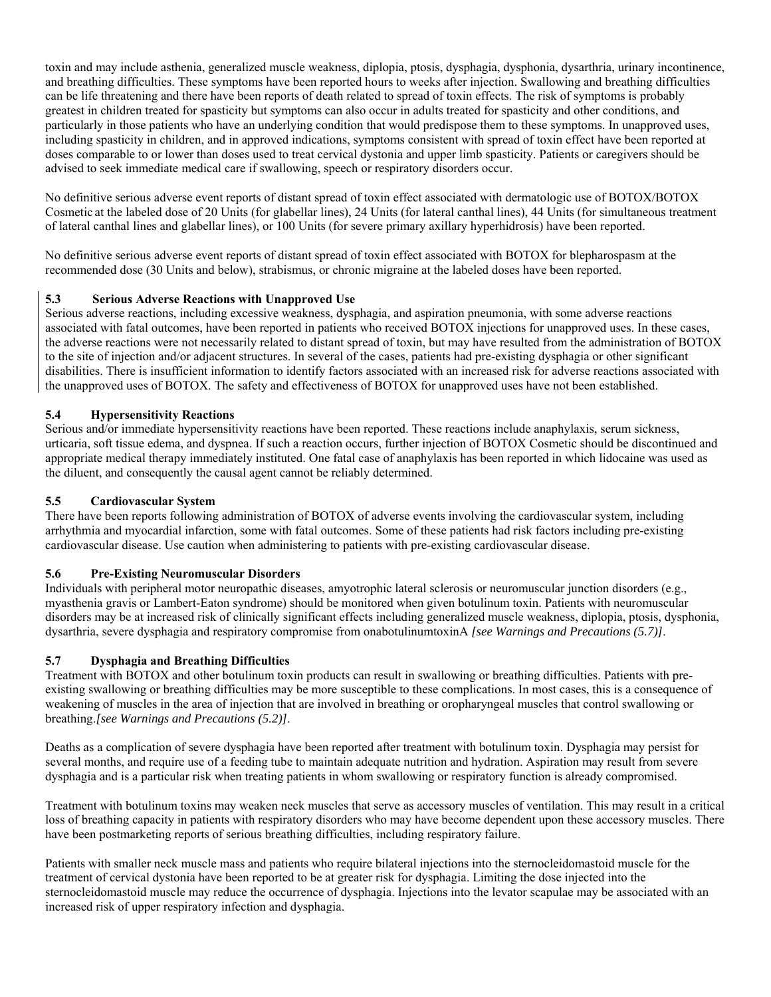toxin and may include asthenia, generalized muscle weakness, diplopia, ptosis, dysphagia, dysphonia, dysarthria, urinary incontinence, and breathing difficulties. These symptoms have been reported hours to weeks after injection. Swallowing and breathing difficulties can be life threatening and there have been reports of death related to spread of toxin effects. The risk of symptoms is probably greatest in children treated for spasticity but symptoms can also occur in adults treated for spasticity and other conditions, and particularly in those patients who have an underlying condition that would predispose them to these symptoms. In unapproved uses, including spasticity in children, and in approved indications, symptoms consistent with spread of toxin effect have been reported at doses comparable to or lower than doses used to treat cervical dystonia and upper limb spasticity. Patients or caregivers should be advised to seek immediate medical care if swallowing, speech or respiratory disorders occur.

No definitive serious adverse event reports of distant spread of toxin effect associated with dermatologic use of BOTOX/BOTOX Cosmetic at the labeled dose of 20 Units (for glabellar lines), 24 Units (for lateral canthal lines), 44 Units (for simultaneous treatment of lateral canthal lines and glabellar lines), or 100 Units (for severe primary axillary hyperhidrosis) have been reported.

No definitive serious adverse event reports of distant spread of toxin effect associated with BOTOX for blepharospasm at the recommended dose (30 Units and below), strabismus, or chronic migraine at the labeled doses have been reported.

# **5.3 Serious Adverse Reactions with Unapproved Use**

Serious adverse reactions, including excessive weakness, dysphagia, and aspiration pneumonia, with some adverse reactions associated with fatal outcomes, have been reported in patients who received BOTOX injections for unapproved uses. In these cases, the adverse reactions were not necessarily related to distant spread of toxin, but may have resulted from the administration of BOTOX to the site of injection and/or adjacent structures. In several of the cases, patients had pre-existing dysphagia or other significant disabilities. There is insufficient information to identify factors associated with an increased risk for adverse reactions associated with the unapproved uses of BOTOX. The safety and effectiveness of BOTOX for unapproved uses have not been established.

# **5.4 Hypersensitivity Reactions**

Serious and/or immediate hypersensitivity reactions have been reported. These reactions include anaphylaxis, serum sickness, urticaria, soft tissue edema, and dyspnea. If such a reaction occurs, further injection of BOTOX Cosmetic should be discontinued and appropriate medical therapy immediately instituted. One fatal case of anaphylaxis has been reported in which lidocaine was used as the diluent, and consequently the causal agent cannot be reliably determined.

# **5.5 Cardiovascular System**

There have been reports following administration of BOTOX of adverse events involving the cardiovascular system, including arrhythmia and myocardial infarction, some with fatal outcomes. Some of these patients had risk factors including pre-existing cardiovascular disease. Use caution when administering to patients with pre-existing cardiovascular disease.

# **5.6 Pre-Existing Neuromuscular Disorders**

Individuals with peripheral motor neuropathic diseases, amyotrophic lateral sclerosis or neuromuscular junction disorders (e.g., myasthenia gravis or Lambert-Eaton syndrome) should be monitored when given botulinum toxin. Patients with neuromuscular disorders may be at increased risk of clinically significant effects including generalized muscle weakness, diplopia, ptosis, dysphonia, dysarthria, severe dysphagia and respiratory compromise from onabotulinumtoxinA *[see Warnings and Precautions (5.7)]*.

# **5.7 Dysphagia and Breathing Difficulties**

Treatment with BOTOX and other botulinum toxin products can result in swallowing or breathing difficulties. Patients with preexisting swallowing or breathing difficulties may be more susceptible to these complications. In most cases, this is a consequence of weakening of muscles in the area of injection that are involved in breathing or oropharyngeal muscles that control swallowing or breathing.*[see Warnings and Precautions (5.2)]*.

Deaths as a complication of severe dysphagia have been reported after treatment with botulinum toxin. Dysphagia may persist for several months, and require use of a feeding tube to maintain adequate nutrition and hydration. Aspiration may result from severe dysphagia and is a particular risk when treating patients in whom swallowing or respiratory function is already compromised.

Treatment with botulinum toxins may weaken neck muscles that serve as accessory muscles of ventilation. This may result in a critical loss of breathing capacity in patients with respiratory disorders who may have become dependent upon these accessory muscles. There have been postmarketing reports of serious breathing difficulties, including respiratory failure.

Patients with smaller neck muscle mass and patients who require bilateral injections into the sternocleidomastoid muscle for the treatment of cervical dystonia have been reported to be at greater risk for dysphagia. Limiting the dose injected into the sternocleidomastoid muscle may reduce the occurrence of dysphagia. Injections into the levator scapulae may be associated with an increased risk of upper respiratory infection and dysphagia.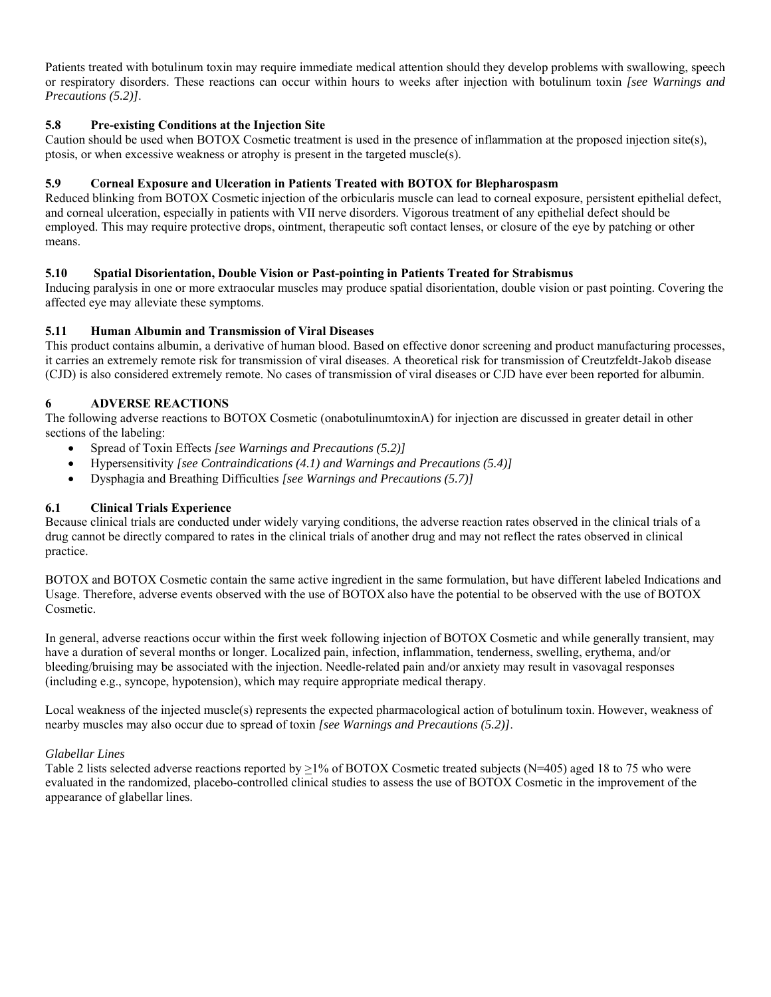Patients treated with botulinum toxin may require immediate medical attention should they develop problems with swallowing, speech or respiratory disorders. These reactions can occur within hours to weeks after injection with botulinum toxin *[see Warnings and Precautions (5.2)]*.

# **5.8 Pre-existing Conditions at the Injection Site**

Caution should be used when BOTOX Cosmetic treatment is used in the presence of inflammation at the proposed injection site(s), ptosis, or when excessive weakness or atrophy is present in the targeted muscle(s).

# **5.9 Corneal Exposure and Ulceration in Patients Treated with BOTOX for Blepharospasm**

Reduced blinking from BOTOX Cosmetic injection of the orbicularis muscle can lead to corneal exposure, persistent epithelial defect, and corneal ulceration, especially in patients with VII nerve disorders. Vigorous treatment of any epithelial defect should be employed. This may require protective drops, ointment, therapeutic soft contact lenses, or closure of the eye by patching or other means.

# **5.10 Spatial Disorientation, Double Vision or Past-pointing in Patients Treated for Strabismus**

Inducing paralysis in one or more extraocular muscles may produce spatial disorientation, double vision or past pointing. Covering the affected eye may alleviate these symptoms.

# **5.11 Human Albumin and Transmission of Viral Diseases**

This product contains albumin, a derivative of human blood. Based on effective donor screening and product manufacturing processes, it carries an extremely remote risk for transmission of viral diseases. A theoretical risk for transmission of Creutzfeldt-Jakob disease (CJD) is also considered extremely remote. No cases of transmission of viral diseases or CJD have ever been reported for albumin.

# **6 ADVERSE REACTIONS**

The following adverse reactions to BOTOX Cosmetic (onabotulinumtoxinA) for injection are discussed in greater detail in other sections of the labeling:

- Spread of Toxin Effects *[see Warnings and Precautions (5.2)]*
- Hypersensitivity *[see Contraindications (4.1) and Warnings and Precautions (5.4)]*
- Dysphagia and Breathing Difficulties *[see Warnings and Precautions (5.7)]*

# **6.1 Clinical Trials Experience**

Because clinical trials are conducted under widely varying conditions, the adverse reaction rates observed in the clinical trials of a drug cannot be directly compared to rates in the clinical trials of another drug and may not reflect the rates observed in clinical practice.

BOTOX and BOTOX Cosmetic contain the same active ingredient in the same formulation, but have different labeled Indications and Usage. Therefore, adverse events observed with the use of BOTOX also have the potential to be observed with the use of BOTOX Cosmetic.

In general, adverse reactions occur within the first week following injection of BOTOX Cosmetic and while generally transient, may have a duration of several months or longer. Localized pain, infection, inflammation, tenderness, swelling, erythema, and/or bleeding/bruising may be associated with the injection. Needle-related pain and/or anxiety may result in vasovagal responses (including e.g., syncope, hypotension), which may require appropriate medical therapy.

Local weakness of the injected muscle(s) represents the expected pharmacological action of botulinum toxin. However, weakness of nearby muscles may also occur due to spread of toxin *[see Warnings and Precautions (5.2)]*.

# *Glabellar Lines*

Table 2 lists selected adverse reactions reported by >1% of BOTOX Cosmetic treated subjects (N=405) aged 18 to 75 who were evaluated in the randomized, placebo-controlled clinical studies to assess the use of BOTOX Cosmetic in the improvement of the appearance of glabellar lines.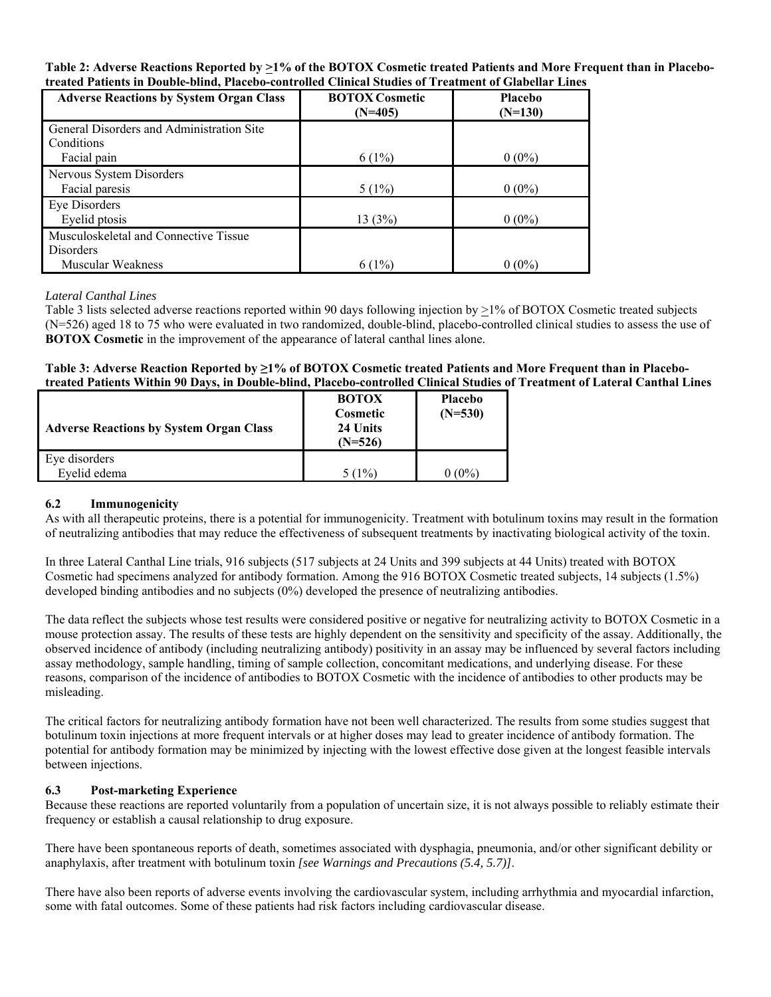| Table 2: Adverse Reactions Reported by $\geq$ 1% of the BOTOX Cosmetic treated Patients and More Frequent than in Placebo- |
|----------------------------------------------------------------------------------------------------------------------------|
| treated Patients in Double-blind, Placebo-controlled Clinical Studies of Treatment of Glabellar Lines                      |

| <b>Adverse Reactions by System Organ Class</b> | <b>BOTOX Cosmetic</b> | Placebo   |
|------------------------------------------------|-----------------------|-----------|
|                                                | $(N=405)$             | $(N=130)$ |
| General Disorders and Administration Site      |                       |           |
| Conditions                                     |                       |           |
| Facial pain                                    | $6(1\%)$              | $0(0\%)$  |
| Nervous System Disorders                       |                       |           |
| Facial paresis                                 | $5(1\%)$              | $0(0\%)$  |
| Eye Disorders                                  |                       |           |
| Eyelid ptosis                                  | 13(3%)                | $0(0\%)$  |
| Musculoskeletal and Connective Tissue          |                       |           |
| Disorders                                      |                       |           |
| Muscular Weakness                              | $6(1\%)$              | $0(0\%)$  |

*Lateral Canthal Lines* 

Table 3 lists selected adverse reactions reported within 90 days following injection by  $\geq$ 1% of BOTOX Cosmetic treated subjects (N=526) aged 18 to 75 who were evaluated in two randomized, double-blind, placebo-controlled clinical studies to assess the use of **BOTOX Cosmetic** in the improvement of the appearance of lateral canthal lines alone.

#### **Table 3: Adverse Reaction Reported by ≥1% of BOTOX Cosmetic treated Patients and More Frequent than in Placebotreated Patients Within 90 Days, in Double-blind, Placebo-controlled Clinical Studies of Treatment of Lateral Canthal Lines**

| <b>Adverse Reactions by System Organ Class</b> | <b>BOTOX</b><br>Cosmetic<br>24 Units<br>$(N=526)$ | <b>Placebo</b><br>$(N=530)$ |
|------------------------------------------------|---------------------------------------------------|-----------------------------|
| Eye disorders                                  |                                                   |                             |
| Eyelid edema                                   | 5 $(1\%)$                                         | $(0\%)$                     |

# **6.2 Immunogenicity**

As with all therapeutic proteins, there is a potential for immunogenicity. Treatment with botulinum toxins may result in the formation of neutralizing antibodies that may reduce the effectiveness of subsequent treatments by inactivating biological activity of the toxin.

In three Lateral Canthal Line trials, 916 subjects (517 subjects at 24 Units and 399 subjects at 44 Units) treated with BOTOX Cosmetic had specimens analyzed for antibody formation. Among the 916 BOTOX Cosmetic treated subjects, 14 subjects (1.5%) developed binding antibodies and no subjects (0%) developed the presence of neutralizing antibodies.

The data reflect the subjects whose test results were considered positive or negative for neutralizing activity to BOTOX Cosmetic in a mouse protection assay. The results of these tests are highly dependent on the sensitivity and specificity of the assay. Additionally, the observed incidence of antibody (including neutralizing antibody) positivity in an assay may be influenced by several factors including assay methodology, sample handling, timing of sample collection, concomitant medications, and underlying disease. For these reasons, comparison of the incidence of antibodies to BOTOX Cosmetic with the incidence of antibodies to other products may be misleading.

The critical factors for neutralizing antibody formation have not been well characterized. The results from some studies suggest that botulinum toxin injections at more frequent intervals or at higher doses may lead to greater incidence of antibody formation. The potential for antibody formation may be minimized by injecting with the lowest effective dose given at the longest feasible intervals between injections.

# **6.3 Post-marketing Experience**

Because these reactions are reported voluntarily from a population of uncertain size, it is not always possible to reliably estimate their frequency or establish a causal relationship to drug exposure.

There have been spontaneous reports of death, sometimes associated with dysphagia, pneumonia, and/or other significant debility or anaphylaxis, after treatment with botulinum toxin *[see Warnings and Precautions (5.4, 5.7)]*.

There have also been reports of adverse events involving the cardiovascular system, including arrhythmia and myocardial infarction, some with fatal outcomes. Some of these patients had risk factors including cardiovascular disease.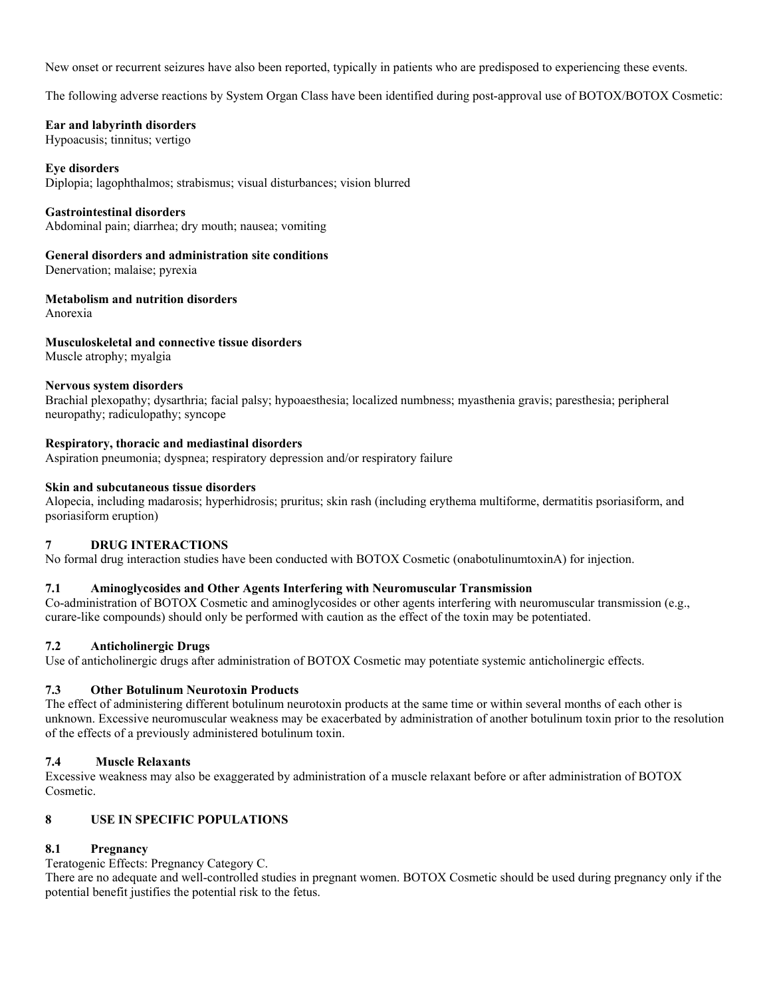New onset or recurrent seizures have also been reported, typically in patients who are predisposed to experiencing these events.

The following adverse reactions by System Organ Class have been identified during post-approval use of BOTOX/BOTOX Cosmetic:

# **Ear and labyrinth disorders**

Hypoacusis; tinnitus; vertigo

# **Eye disorders**

Diplopia; lagophthalmos; strabismus; visual disturbances; vision blurred

#### **Gastrointestinal disorders**

Abdominal pain; diarrhea; dry mouth; nausea; vomiting

# **General disorders and administration site conditions**

Denervation; malaise; pyrexia

**Metabolism and nutrition disorders**  Anorexia

# **Musculoskeletal and connective tissue disorders**

Muscle atrophy; myalgia

# **Nervous system disorders**

Brachial plexopathy; dysarthria; facial palsy; hypoaesthesia; localized numbness; myasthenia gravis; paresthesia; peripheral neuropathy; radiculopathy; syncope

# **Respiratory, thoracic and mediastinal disorders**

Aspiration pneumonia; dyspnea; respiratory depression and/or respiratory failure

# **Skin and subcutaneous tissue disorders**

Alopecia, including madarosis; hyperhidrosis; pruritus; skin rash (including erythema multiforme, dermatitis psoriasiform, and psoriasiform eruption)

# **7 DRUG INTERACTIONS**

No formal drug interaction studies have been conducted with BOTOX Cosmetic (onabotulinumtoxinA) for injection.

# **7.1 Aminoglycosides and Other Agents Interfering with Neuromuscular Transmission**

Co-administration of BOTOX Cosmetic and aminoglycosides or other agents interfering with neuromuscular transmission (e.g., curare-like compounds) should only be performed with caution as the effect of the toxin may be potentiated.

# **7.2 Anticholinergic Drugs**

Use of anticholinergic drugs after administration of BOTOX Cosmetic may potentiate systemic anticholinergic effects.

# **7.3 Other Botulinum Neurotoxin Products**

The effect of administering different botulinum neurotoxin products at the same time or within several months of each other is unknown. Excessive neuromuscular weakness may be exacerbated by administration of another botulinum toxin prior to the resolution of the effects of a previously administered botulinum toxin.

# **7.4 Muscle Relaxants**

Excessive weakness may also be exaggerated by administration of a muscle relaxant before or after administration of BOTOX Cosmetic.

# **8 USE IN SPECIFIC POPULATIONS**

# **8.1 Pregnancy**

Teratogenic Effects: Pregnancy Category C.

There are no adequate and well-controlled studies in pregnant women. BOTOX Cosmetic should be used during pregnancy only if the potential benefit justifies the potential risk to the fetus.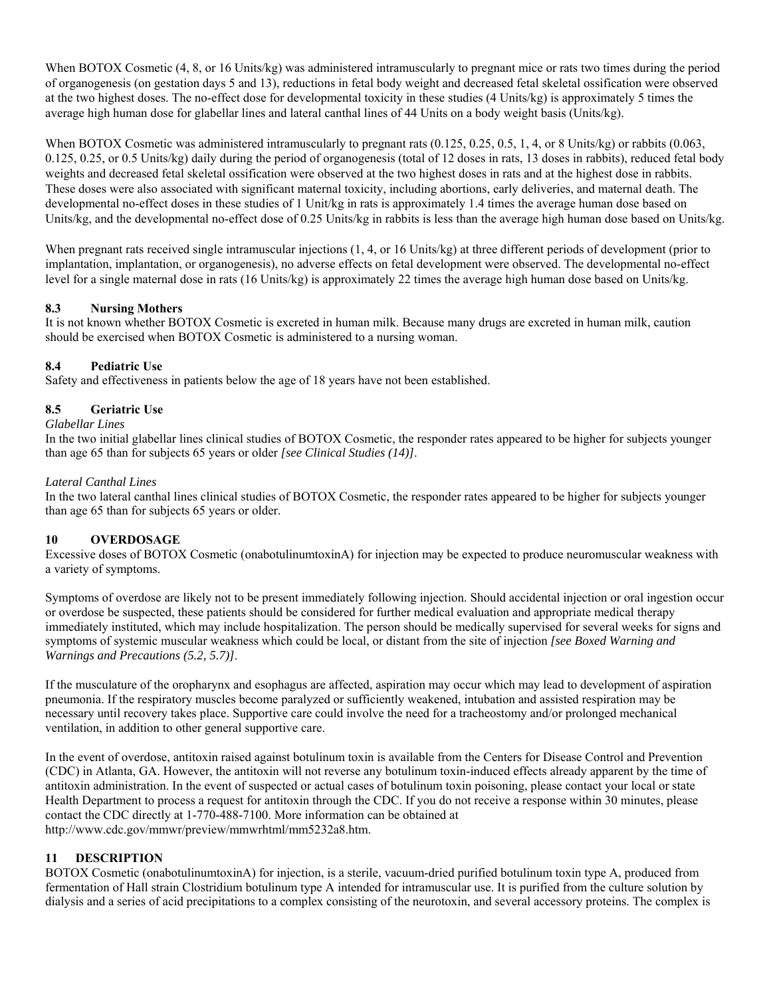When BOTOX Cosmetic (4, 8, or 16 Units/kg) was administered intramuscularly to pregnant mice or rats two times during the period of organogenesis (on gestation days 5 and 13), reductions in fetal body weight and decreased fetal skeletal ossification were observed at the two highest doses. The no-effect dose for developmental toxicity in these studies (4 Units/kg) is approximately 5 times the average high human dose for glabellar lines and lateral canthal lines of 44 Units on a body weight basis (Units/kg).

When BOTOX Cosmetic was administered intramuscularly to pregnant rats (0.125, 0.25, 0.5, 1, 4, or 8 Units/kg) or rabbits (0.063, 0.125, 0.25, or 0.5 Units/kg) daily during the period of organogenesis (total of 12 doses in rats, 13 doses in rabbits), reduced fetal body weights and decreased fetal skeletal ossification were observed at the two highest doses in rats and at the highest dose in rabbits. These doses were also associated with significant maternal toxicity, including abortions, early deliveries, and maternal death. The developmental no-effect doses in these studies of 1 Unit/kg in rats is approximately 1.4 times the average human dose based on Units/kg, and the developmental no-effect dose of 0.25 Units/kg in rabbits is less than the average high human dose based on Units/kg.

When pregnant rats received single intramuscular injections (1, 4, or 16 Units/kg) at three different periods of development (prior to implantation, implantation, or organogenesis), no adverse effects on fetal development were observed. The developmental no-effect level for a single maternal dose in rats (16 Units/kg) is approximately 22 times the average high human dose based on Units/kg.

# **8.3 Nursing Mothers**

It is not known whether BOTOX Cosmetic is excreted in human milk. Because many drugs are excreted in human milk, caution should be exercised when BOTOX Cosmetic is administered to a nursing woman.

# **8.4 Pediatric Use**

Safety and effectiveness in patients below the age of 18 years have not been established.

# **8.5 Geriatric Use**

# *Glabellar Lines*

In the two initial glabellar lines clinical studies of BOTOX Cosmetic, the responder rates appeared to be higher for subjects younger than age 65 than for subjects 65 years or older *[see Clinical Studies (14)]*.

# *Lateral Canthal Lines*

In the two lateral canthal lines clinical studies of BOTOX Cosmetic, the responder rates appeared to be higher for subjects younger than age 65 than for subjects 65 years or older.

# **10 OVERDOSAGE**

Excessive doses of BOTOX Cosmetic (onabotulinumtoxinA) for injection may be expected to produce neuromuscular weakness with a variety of symptoms.

Symptoms of overdose are likely not to be present immediately following injection. Should accidental injection or oral ingestion occur or overdose be suspected, these patients should be considered for further medical evaluation and appropriate medical therapy immediately instituted, which may include hospitalization. The person should be medically supervised for several weeks for signs and symptoms of systemic muscular weakness which could be local, or distant from the site of injection *[see Boxed Warning and Warnings and Precautions (5.2, 5.7)]*.

If the musculature of the oropharynx and esophagus are affected, aspiration may occur which may lead to development of aspiration pneumonia. If the respiratory muscles become paralyzed or sufficiently weakened, intubation and assisted respiration may be necessary until recovery takes place. Supportive care could involve the need for a tracheostomy and/or prolonged mechanical ventilation, in addition to other general supportive care.

In the event of overdose, antitoxin raised against botulinum toxin is available from the Centers for Disease Control and Prevention (CDC) in Atlanta, GA. However, the antitoxin will not reverse any botulinum toxin-induced effects already apparent by the time of antitoxin administration. In the event of suspected or actual cases of botulinum toxin poisoning, please contact your local or state Health Department to process a request for antitoxin through the CDC. If you do not receive a response within 30 minutes, please contact the CDC directly at 1-770-488-7100. More information can be obtained at http://www.cdc.gov/mmwr/preview/mmwrhtml/mm5232a8.htm.

# **11 DESCRIPTION**

BOTOX Cosmetic (onabotulinumtoxinA) for injection, is a sterile, vacuum-dried purified botulinum toxin type A, produced from fermentation of Hall strain Clostridium botulinum type A intended for intramuscular use. It is purified from the culture solution by dialysis and a series of acid precipitations to a complex consisting of the neurotoxin, and several accessory proteins. The complex is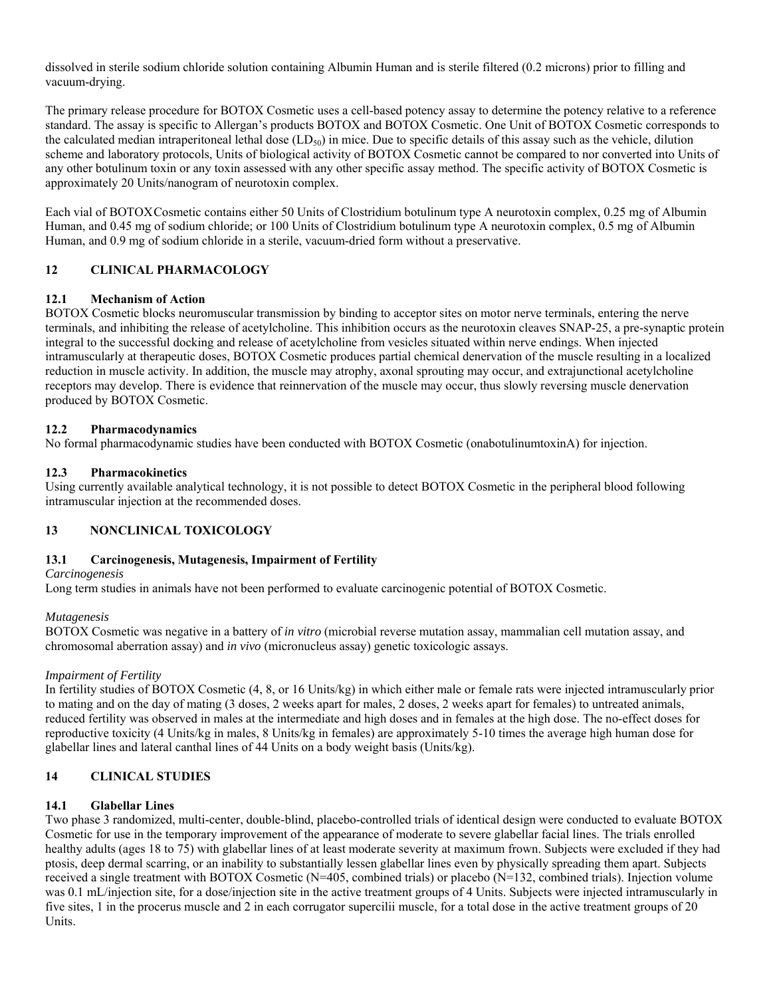dissolved in sterile sodium chloride solution containing Albumin Human and is sterile filtered (0.2 microns) prior to filling and vacuum-drying.

The primary release procedure for BOTOX Cosmetic uses a cell-based potency assay to determine the potency relative to a reference standard. The assay is specific to Allergan's products BOTOX and BOTOX Cosmetic. One Unit of BOTOX Cosmetic corresponds to the calculated median intraperitoneal lethal dose  $(LD_{50})$  in mice. Due to specific details of this assay such as the vehicle, dilution scheme and laboratory protocols, Units of biological activity of BOTOX Cosmetic cannot be compared to nor converted into Units of any other botulinum toxin or any toxin assessed with any other specific assay method. The specific activity of BOTOX Cosmetic is approximately 20 Units/nanogram of neurotoxin complex.

Each vial of BOTOXCosmetic contains either 50 Units of Clostridium botulinum type A neurotoxin complex, 0.25 mg of Albumin Human, and 0.45 mg of sodium chloride; or 100 Units of Clostridium botulinum type A neurotoxin complex, 0.5 mg of Albumin Human, and 0.9 mg of sodium chloride in a sterile, vacuum-dried form without a preservative.

# **12 CLINICAL PHARMACOLOGY**

# **12.1 Mechanism of Action**

BOTOX Cosmetic blocks neuromuscular transmission by binding to acceptor sites on motor nerve terminals, entering the nerve terminals, and inhibiting the release of acetylcholine. This inhibition occurs as the neurotoxin cleaves SNAP-25, a pre-synaptic protein integral to the successful docking and release of acetylcholine from vesicles situated within nerve endings. When injected intramuscularly at therapeutic doses, BOTOX Cosmetic produces partial chemical denervation of the muscle resulting in a localized reduction in muscle activity. In addition, the muscle may atrophy, axonal sprouting may occur, and extrajunctional acetylcholine receptors may develop. There is evidence that reinnervation of the muscle may occur, thus slowly reversing muscle denervation produced by BOTOX Cosmetic.

# **12.2 Pharmacodynamics**

No formal pharmacodynamic studies have been conducted with BOTOX Cosmetic (onabotulinumtoxinA) for injection.

# **12.3 Pharmacokinetics**

Using currently available analytical technology, it is not possible to detect BOTOX Cosmetic in the peripheral blood following intramuscular injection at the recommended doses.

# **13 NONCLINICAL TOXICOLOGY**

# **13.1 Carcinogenesis, Mutagenesis, Impairment of Fertility**

# *Carcinogenesis*

Long term studies in animals have not been performed to evaluate carcinogenic potential of BOTOX Cosmetic.

# *Mutagenesis*

BOTOX Cosmetic was negative in a battery of *in vitro* (microbial reverse mutation assay, mammalian cell mutation assay, and chromosomal aberration assay) and *in vivo* (micronucleus assay) genetic toxicologic assays.

# *Impairment of Fertility*

In fertility studies of BOTOX Cosmetic (4, 8, or 16 Units/kg) in which either male or female rats were injected intramuscularly prior to mating and on the day of mating (3 doses, 2 weeks apart for males, 2 doses, 2 weeks apart for females) to untreated animals, reduced fertility was observed in males at the intermediate and high doses and in females at the high dose. The no-effect doses for reproductive toxicity (4 Units/kg in males, 8 Units/kg in females) are approximately 5-10 times the average high human dose for glabellar lines and lateral canthal lines of 44 Units on a body weight basis (Units/kg).

# **14 CLINICAL STUDIES**

# **14.1 Glabellar Lines**

Two phase 3 randomized, multi-center, double-blind, placebo-controlled trials of identical design were conducted to evaluate BOTOX Cosmetic for use in the temporary improvement of the appearance of moderate to severe glabellar facial lines. The trials enrolled healthy adults (ages 18 to 75) with glabellar lines of at least moderate severity at maximum frown. Subjects were excluded if they had ptosis, deep dermal scarring, or an inability to substantially lessen glabellar lines even by physically spreading them apart. Subjects received a single treatment with BOTOX Cosmetic (N=405, combined trials) or placebo (N=132, combined trials). Injection volume was 0.1 mL/injection site, for a dose/injection site in the active treatment groups of 4 Units. Subjects were injected intramuscularly in five sites, 1 in the procerus muscle and 2 in each corrugator supercilii muscle, for a total dose in the active treatment groups of 20 Units.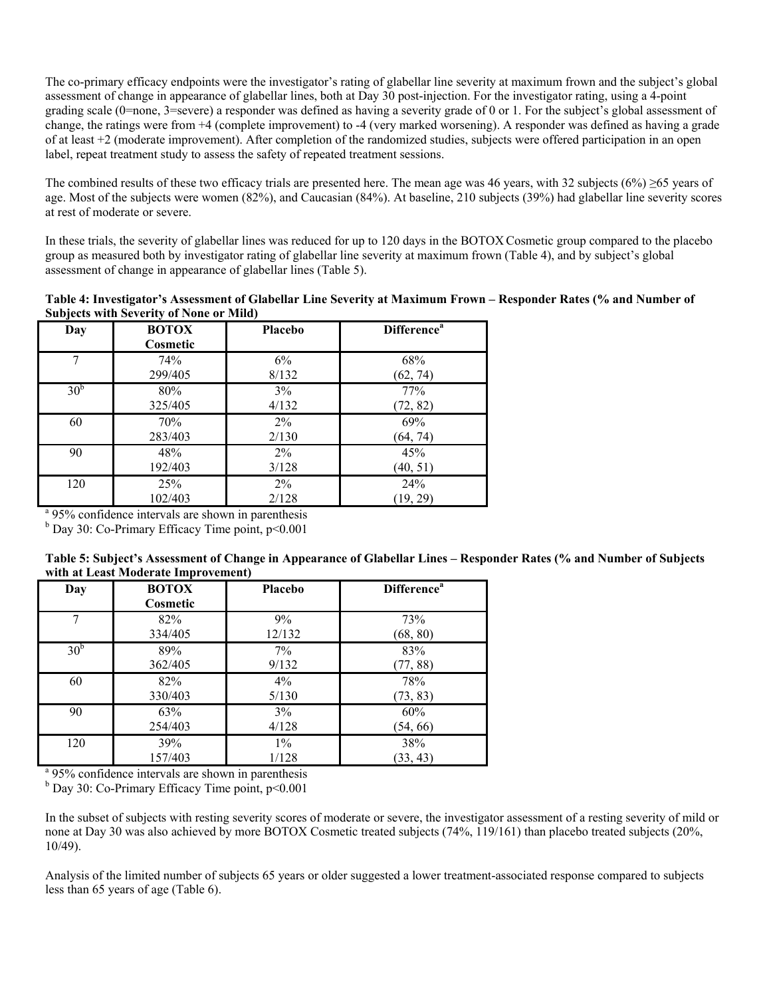The co-primary efficacy endpoints were the investigator's rating of glabellar line severity at maximum frown and the subject's global assessment of change in appearance of glabellar lines, both at Day 30 post-injection. For the investigator rating, using a 4-point grading scale (0=none, 3=severe) a responder was defined as having a severity grade of 0 or 1. For the subject's global assessment of change, the ratings were from +4 (complete improvement) to -4 (very marked worsening). A responder was defined as having a grade of at least +2 (moderate improvement). After completion of the randomized studies, subjects were offered participation in an open label, repeat treatment study to assess the safety of repeated treatment sessions.

The combined results of these two efficacy trials are presented here. The mean age was 46 years, with 32 subjects (6%)  $\geq 65$  years of age. Most of the subjects were women (82%), and Caucasian (84%). At baseline, 210 subjects (39%) had glabellar line severity scores at rest of moderate or severe.

In these trials, the severity of glabellar lines was reduced for up to 120 days in the BOTOX Cosmetic group compared to the placebo group as measured both by investigator rating of glabellar line severity at maximum frown (Table 4), and by subject's global assessment of change in appearance of glabellar lines (Table 5).

| Table 4: Investigator's Assessment of Glabellar Line Severity at Maximum Frown - Responder Rates (% and Number of |  |
|-------------------------------------------------------------------------------------------------------------------|--|
| <b>Subjects with Severity of None or Mild)</b>                                                                    |  |

| Day             | <b>BOTOX</b><br>Cosmetic                                       | Placebo | Difference <sup>a</sup> |
|-----------------|----------------------------------------------------------------|---------|-------------------------|
| 7               | 74%                                                            | 6%      | 68%                     |
|                 | 299/405                                                        | 8/132   | (62, 74)                |
| 30 <sup>b</sup> | 80%                                                            | 3%      | 77%                     |
|                 | 325/405                                                        | 4/132   | (72, 82)                |
| 60              | 70%                                                            | $2\%$   | 69%                     |
|                 | 283/403                                                        | 2/130   | (64, 74)                |
| 90              | 48%                                                            | $2\%$   | 45%                     |
|                 | 192/403                                                        | 3/128   | (40, 51)                |
| 120             | 25%                                                            | $2\%$   | 24%                     |
|                 | 102/403                                                        | 2/128   | (19, 29)                |
|                 | <sup>a</sup> 95% confidence intervals are shown in parenthesis |         |                         |

 $b$  Day 30: Co-Primary Efficacy Time point,  $p < 0.001$ 

|                                     | Table 5: Subject's Assessment of Change in Appearance of Glabellar Lines – Responder Rates (% and Number of Subjects |
|-------------------------------------|----------------------------------------------------------------------------------------------------------------------|
| with at Least Moderate Improvement) |                                                                                                                      |

| Day             | <b>BOTOX</b><br>Cosmetic                                       | <b>Placebo</b> | Difference <sup>a</sup> |
|-----------------|----------------------------------------------------------------|----------------|-------------------------|
| 7               | 82%                                                            | 9%             | 73%                     |
|                 | 334/405                                                        | 12/132         | (68, 80)                |
| 30 <sup>b</sup> | 89%                                                            | 7%             | 83%                     |
|                 | 362/405                                                        | 9/132          | (77, 88)                |
| 60              | 82%                                                            | 4%             | 78%                     |
|                 | 330/403                                                        | 5/130          | (73, 83)                |
| 90              | 63%                                                            | 3%             | 60%                     |
|                 | 254/403                                                        | 4/128          | (54, 66)                |
| 120             | 39%                                                            | $1\%$          | 38%                     |
|                 | 157/403                                                        | 1/128          | (33, 43)                |
|                 | <sup>a</sup> 95% confidence intervals are shown in parenthesis |                |                         |

<sup>b</sup> Day 30: Co-Primary Efficacy Time point, p<0.001

In the subset of subjects with resting severity scores of moderate or severe, the investigator assessment of a resting severity of mild or none at Day 30 was also achieved by more BOTOX Cosmetic treated subjects (74%, 119/161) than placebo treated subjects (20%, 10/49).

Analysis of the limited number of subjects 65 years or older suggested a lower treatment-associated response compared to subjects less than 65 years of age (Table 6).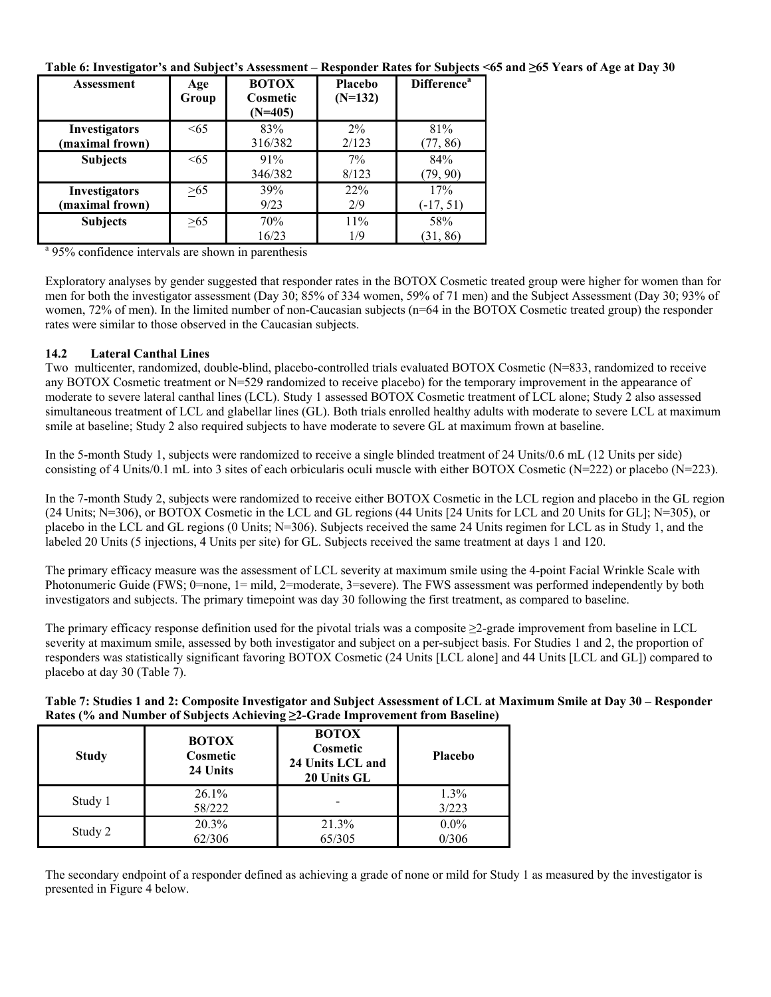| <b>Assessment</b>                                              | Age<br>Group | <b>BOTOX</b><br><b>Cosmetic</b><br>$(N=405)$ | <b>Placebo</b><br>$(N=132)$ | Difference <sup>a</sup> |
|----------------------------------------------------------------|--------------|----------------------------------------------|-----------------------------|-------------------------|
| <b>Investigators</b><br>(maximal frown)                        | &5           | 83%<br>316/382                               | $2\%$<br>2/123              | 81%<br>(77, 86)         |
| <b>Subjects</b>                                                | $\leq 65$    | 91%<br>346/382                               | $7\%$<br>8/123              | 84%<br>(79, 90)         |
| <b>Investigators</b><br>(maximal frown)                        | >65          | 39%<br>9/23                                  | 22%<br>2/9                  | 17%<br>$(-17, 51)$      |
| <b>Subjects</b>                                                | $\geq 65$    | 70%<br>16/23                                 | 11%<br>1/9                  | 58%<br>(31, 86)         |
| <sup>a</sup> 95% confidence intervals are shown in parenthesis |              |                                              |                             |                         |

# **Table 6: Investigator's and Subject's Assessment – Responder Rates for Subjects <65 and ≥65 Years of Age at Day 30**

Exploratory analyses by gender suggested that responder rates in the BOTOX Cosmetic treated group were higher for women than for men for both the investigator assessment (Day 30; 85% of 334 women, 59% of 71 men) and the Subject Assessment (Day 30; 93% of women, 72% of men). In the limited number of non-Caucasian subjects (n=64 in the BOTOX Cosmetic treated group) the responder rates were similar to those observed in the Caucasian subjects.

# **14.2 Lateral Canthal Lines**

Two multicenter, randomized, double-blind, placebo-controlled trials evaluated BOTOX Cosmetic (N=833, randomized to receive any BOTOX Cosmetic treatment or N=529 randomized to receive placebo) for the temporary improvement in the appearance of moderate to severe lateral canthal lines (LCL). Study 1 assessed BOTOX Cosmetic treatment of LCL alone; Study 2 also assessed simultaneous treatment of LCL and glabellar lines (GL). Both trials enrolled healthy adults with moderate to severe LCL at maximum smile at baseline; Study 2 also required subjects to have moderate to severe GL at maximum frown at baseline.

In the 5-month Study 1, subjects were randomized to receive a single blinded treatment of 24 Units/0.6 mL (12 Units per side) consisting of 4 Units/0.1 mL into 3 sites of each orbicularis oculi muscle with either BOTOX Cosmetic (N=222) or placebo (N=223).

In the 7-month Study 2, subjects were randomized to receive either BOTOX Cosmetic in the LCL region and placebo in the GL region (24 Units; N=306), or BOTOX Cosmetic in the LCL and GL regions (44 Units [24 Units for LCL and 20 Units for GL]; N=305), or placebo in the LCL and GL regions (0 Units; N=306). Subjects received the same 24 Units regimen for LCL as in Study 1, and the labeled 20 Units (5 injections, 4 Units per site) for GL. Subjects received the same treatment at days 1 and 120.

The primary efficacy measure was the assessment of LCL severity at maximum smile using the 4-point Facial Wrinkle Scale with Photonumeric Guide (FWS; 0=none, 1= mild, 2=moderate, 3=severe). The FWS assessment was performed independently by both investigators and subjects. The primary timepoint was day 30 following the first treatment, as compared to baseline.

The primary efficacy response definition used for the pivotal trials was a composite ≥2-grade improvement from baseline in LCL severity at maximum smile, assessed by both investigator and subject on a per-subject basis. For Studies 1 and 2, the proportion of responders was statistically significant favoring BOTOX Cosmetic (24 Units [LCL alone] and 44 Units [LCL and GL]) compared to placebo at day 30 (Table 7).

| Table 7: Studies 1 and 2: Composite Investigator and Subject Assessment of LCL at Maximum Smile at Day 30 – Responder |
|-----------------------------------------------------------------------------------------------------------------------|
| Rates (% and Number of Subjects Achieving $\geq 2$ -Grade Improvement from Baseline)                                  |

| <b>Study</b> | <b>BOTOX</b><br>Cosmetic<br>24 Units | <b>BOTOX</b><br>Cosmetic<br>24 Units LCL and<br>20 Units GL | <b>Placebo</b>   |
|--------------|--------------------------------------|-------------------------------------------------------------|------------------|
| Study 1      | 26.1%<br>58/222                      |                                                             | $1.3\%$<br>3/223 |
| Study 2      | 20.3%<br>62/306                      | 21.3%<br>65/305                                             | $0.0\%$<br>0/306 |

The secondary endpoint of a responder defined as achieving a grade of none or mild for Study 1 as measured by the investigator is presented in Figure 4 below.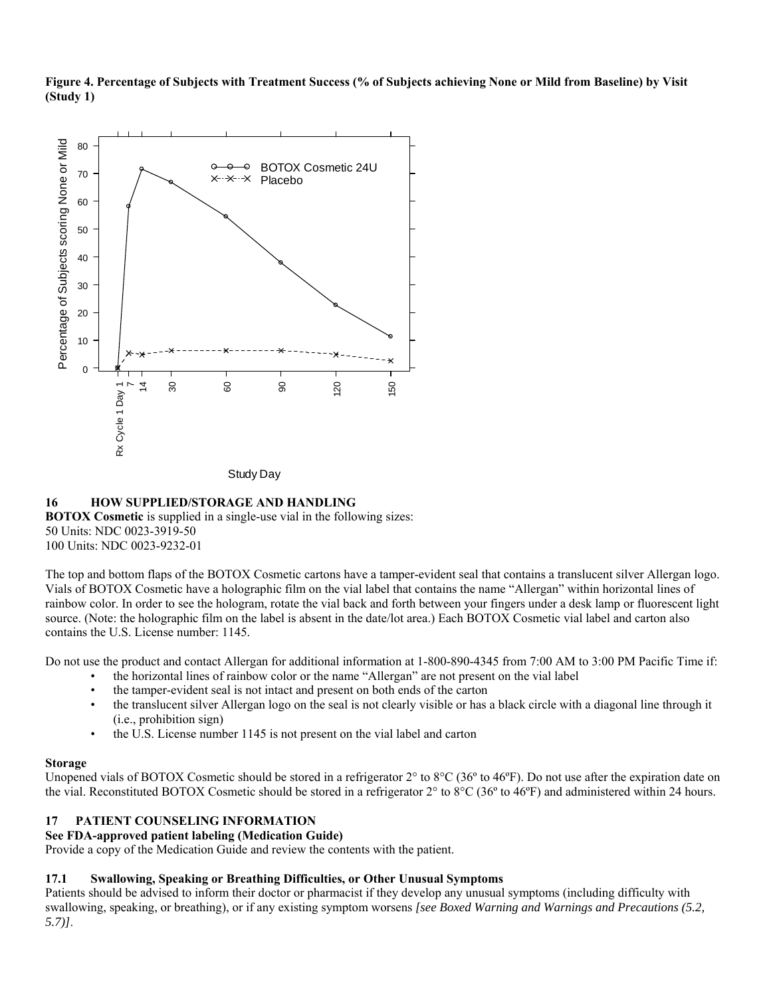**Figure 4. Percentage of Subjects with Treatment Success (% of Subjects achieving None or Mild from Baseline) by Visit (Study 1)** 



# **16 HOW SUPPLIED/STORAGE AND HANDLING**

**BOTOX Cosmetic** is supplied in a single-use vial in the following sizes: 50 Units: NDC 0023-3919-50 100 Units: NDC 0023-9232-01

The top and bottom flaps of the BOTOX Cosmetic cartons have a tamper-evident seal that contains a translucent silver Allergan logo. Vials of BOTOX Cosmetic have a holographic film on the vial label that contains the name "Allergan" within horizontal lines of rainbow color. In order to see the hologram, rotate the vial back and forth between your fingers under a desk lamp or fluorescent light source. (Note: the holographic film on the label is absent in the date/lot area.) Each BOTOX Cosmetic vial label and carton also contains the U.S. License number: 1145.

Do not use the product and contact Allergan for additional information at 1-800-890-4345 from 7:00 AM to 3:00 PM Pacific Time if:

- the horizontal lines of rainbow color or the name "Allergan" are not present on the vial label
- the tamper-evident seal is not intact and present on both ends of the carton
- the translucent silver Allergan logo on the seal is not clearly visible or has a black circle with a diagonal line through it (i.e., prohibition sign)
- the U.S. License number 1145 is not present on the vial label and carton

# **Storage**

Unopened vials of BOTOX Cosmetic should be stored in a refrigerator  $2^{\circ}$  to  $8^{\circ}$ C (36 $^{\circ}$  to 46 $^{\circ}$ F). Do not use after the expiration date on the vial. Reconstituted BOTOX Cosmetic should be stored in a refrigerator 2° to 8°C (36º to 46ºF) and administered within 24 hours.

# **17 PATIENT COUNSELING INFORMATION**

# **See FDA-approved patient labeling (Medication Guide)**

Provide a copy of the Medication Guide and review the contents with the patient.

# **17.1 Swallowing, Speaking or Breathing Difficulties, or Other Unusual Symptoms**

Patients should be advised to inform their doctor or pharmacist if they develop any unusual symptoms (including difficulty with swallowing, speaking, or breathing), or if any existing symptom worsens *[see Boxed Warning and Warnings and Precautions (5.2, 5.7)]*.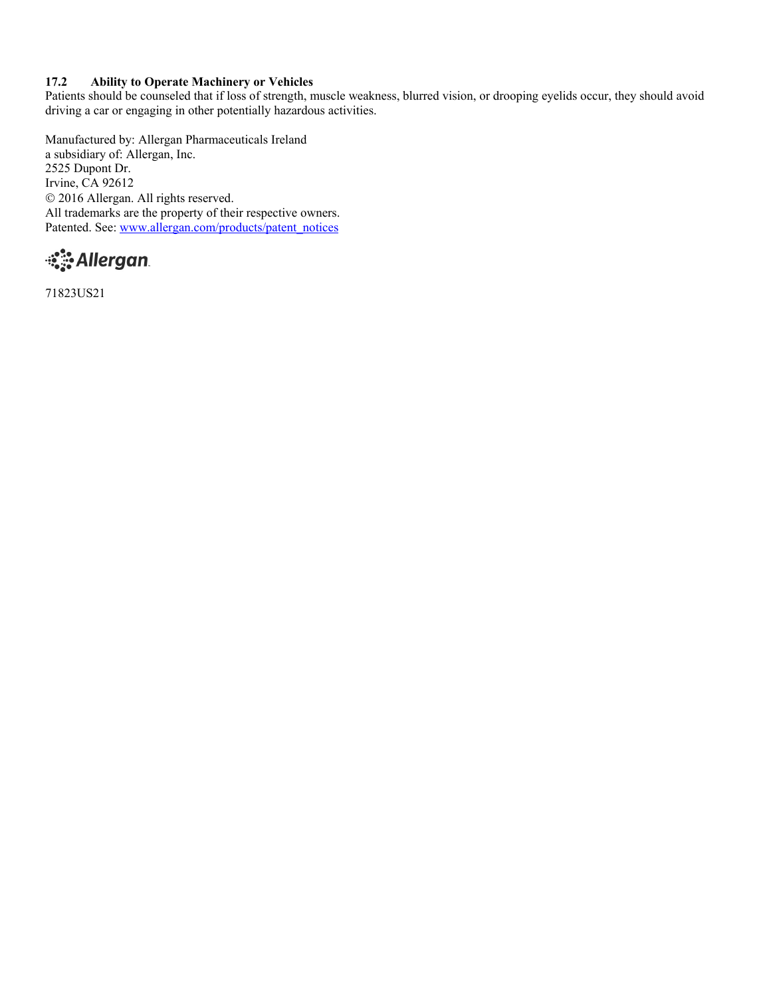# **17.2 Ability to Operate Machinery or Vehicles**

Patients should be counseled that if loss of strength, muscle weakness, blurred vision, or drooping eyelids occur, they should avoid driving a car or engaging in other potentially hazardous activities.

Manufactured by: Allergan Pharmaceuticals Ireland a subsidiary of: Allergan, Inc. 2525 Dupont Dr. Irvine, CA 92612 2016 Allergan. All rights reserved. All trademarks are the property of their respective owners. Patented. See: www.allergan.com/products/patent\_notices



71823US21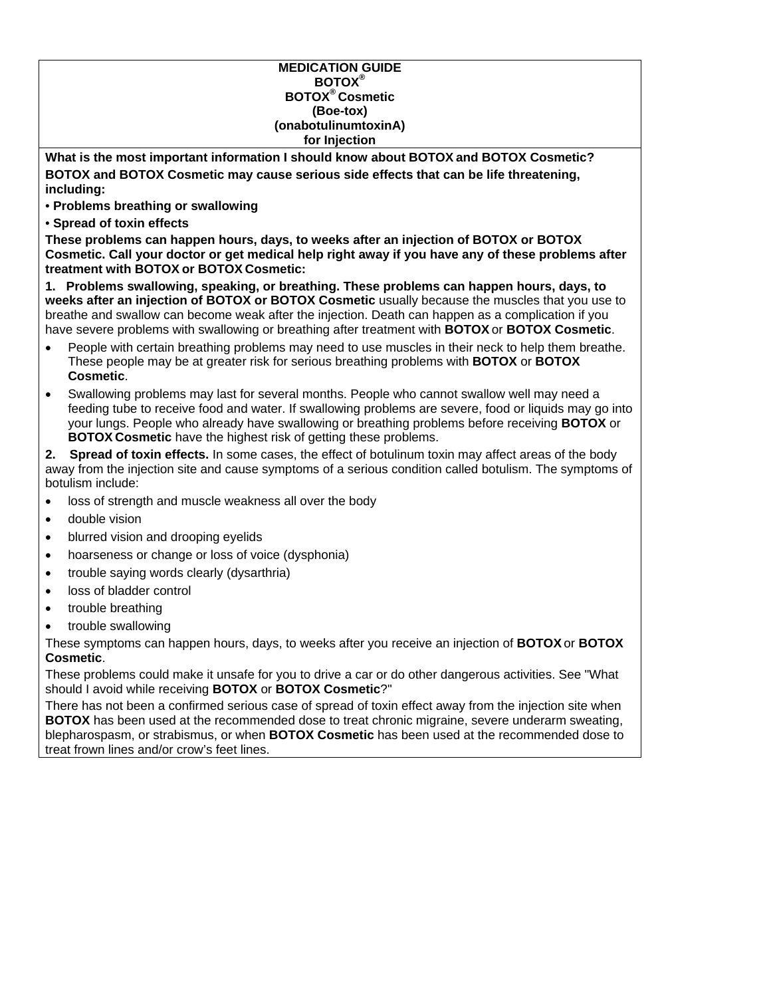# **MEDICATION GUIDE BOTOX® BOTOX® Cosmetic (Boe-tox) (onabotulinumtoxinA) for Injection**

**What is the most important information I should know about BOTOX and BOTOX Cosmetic? BOTOX and BOTOX Cosmetic may cause serious side effects that can be life threatening, including:** 

• **Problems breathing or swallowing** 

• **Spread of toxin effects** 

**These problems can happen hours, days, to weeks after an injection of BOTOX or BOTOX Cosmetic. Call your doctor or get medical help right away if you have any of these problems after treatment with BOTOX or BOTOX Cosmetic:** 

**1. Problems swallowing, speaking, or breathing. These problems can happen hours, days, to weeks after an injection of BOTOX or BOTOX Cosmetic** usually because the muscles that you use to breathe and swallow can become weak after the injection. Death can happen as a complication if you have severe problems with swallowing or breathing after treatment with **BOTOX** or **BOTOX Cosmetic**.

- People with certain breathing problems may need to use muscles in their neck to help them breathe. These people may be at greater risk for serious breathing problems with **BOTOX** or **BOTOX Cosmetic**.
- Swallowing problems may last for several months. People who cannot swallow well may need a feeding tube to receive food and water. If swallowing problems are severe, food or liquids may go into your lungs. People who already have swallowing or breathing problems before receiving **BOTOX** or **BOTOX Cosmetic** have the highest risk of getting these problems.

**2. Spread of toxin effects.** In some cases, the effect of botulinum toxin may affect areas of the body away from the injection site and cause symptoms of a serious condition called botulism. The symptoms of botulism include:

- loss of strength and muscle weakness all over the body
- double vision
- blurred vision and drooping eyelids
- hoarseness or change or loss of voice (dysphonia)
- trouble saying words clearly (dysarthria)
- loss of bladder control
- trouble breathing
- trouble swallowing

These symptoms can happen hours, days, to weeks after you receive an injection of **BOTOX** or **BOTOX Cosmetic**.

These problems could make it unsafe for you to drive a car or do other dangerous activities. See "What should I avoid while receiving **BOTOX** or **BOTOX Cosmetic**?"

There has not been a confirmed serious case of spread of toxin effect away from the injection site when **BOTOX** has been used at the recommended dose to treat chronic migraine, severe underarm sweating, blepharospasm, or strabismus, or when **BOTOX Cosmetic** has been used at the recommended dose to treat frown lines and/or crow's feet lines.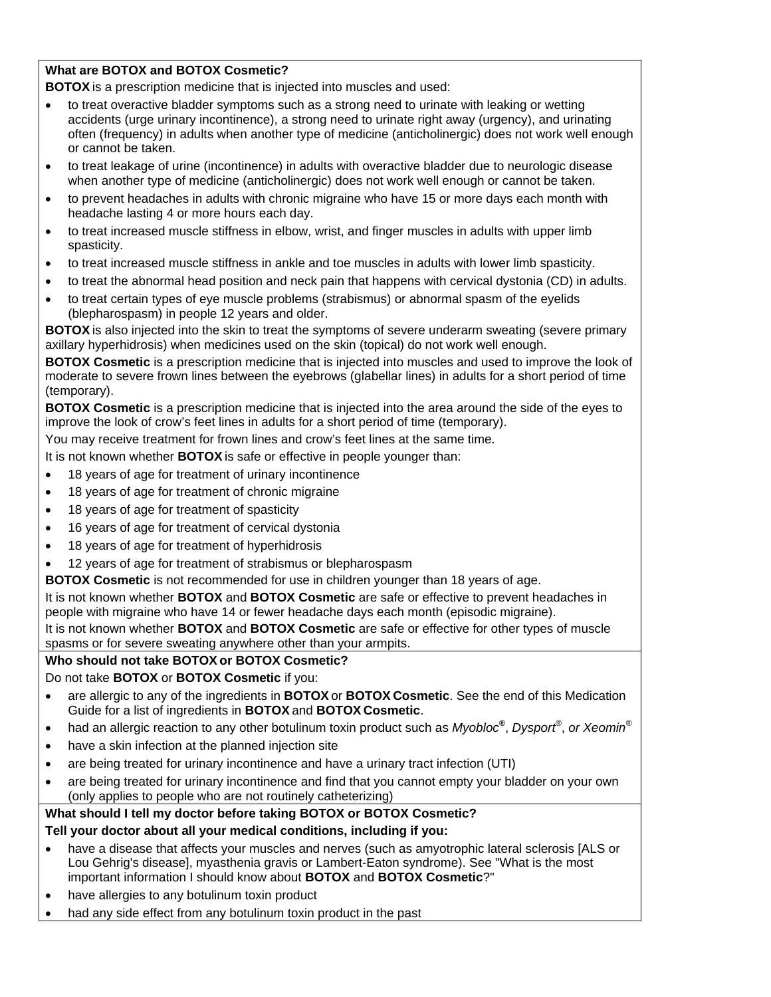# **What are BOTOX and BOTOX Cosmetic?**

**BOTOX** is a prescription medicine that is injected into muscles and used:

- to treat overactive bladder symptoms such as a strong need to urinate with leaking or wetting accidents (urge urinary incontinence), a strong need to urinate right away (urgency), and urinating often (frequency) in adults when another type of medicine (anticholinergic) does not work well enough or cannot be taken.
- to treat leakage of urine (incontinence) in adults with overactive bladder due to neurologic disease when another type of medicine (anticholinergic) does not work well enough or cannot be taken.
- to prevent headaches in adults with chronic migraine who have 15 or more days each month with headache lasting 4 or more hours each day.
- to treat increased muscle stiffness in elbow, wrist, and finger muscles in adults with upper limb spasticity.
- to treat increased muscle stiffness in ankle and toe muscles in adults with lower limb spasticity.
- to treat the abnormal head position and neck pain that happens with cervical dystonia (CD) in adults.
- to treat certain types of eye muscle problems (strabismus) or abnormal spasm of the eyelids (blepharospasm) in people 12 years and older.

**BOTOX** is also injected into the skin to treat the symptoms of severe underarm sweating (severe primary axillary hyperhidrosis) when medicines used on the skin (topical) do not work well enough.

**BOTOX Cosmetic** is a prescription medicine that is injected into muscles and used to improve the look of moderate to severe frown lines between the eyebrows (glabellar lines) in adults for a short period of time (temporary).

**BOTOX Cosmetic** is a prescription medicine that is injected into the area around the side of the eyes to improve the look of crow's feet lines in adults for a short period of time (temporary).

You may receive treatment for frown lines and crow's feet lines at the same time.

It is not known whether **BOTOX** is safe or effective in people younger than:

- 18 years of age for treatment of urinary incontinence
- 18 years of age for treatment of chronic migraine
- 18 years of age for treatment of spasticity
- 16 years of age for treatment of cervical dystonia
- 18 years of age for treatment of hyperhidrosis
- 12 years of age for treatment of strabismus or blepharospasm
- **BOTOX Cosmetic** is not recommended for use in children younger than 18 years of age.

It is not known whether **BOTOX** and **BOTOX Cosmetic** are safe or effective to prevent headaches in people with migraine who have 14 or fewer headache days each month (episodic migraine).

It is not known whether **BOTOX** and **BOTOX Cosmetic** are safe or effective for other types of muscle spasms or for severe sweating anywhere other than your armpits.

# **Who should not take BOTOX or BOTOX Cosmetic?**

Do not take **BOTOX** or **BOTOX Cosmetic** if you:

- are allergic to any of the ingredients in **BOTOX** or **BOTOX Cosmetic**. See the end of this Medication Guide for a list of ingredients in **BOTOX** and **BOTOX Cosmetic**.
- had an allergic reaction to any other botulinum toxin product such as *Myobloc***®** , *Dysport®* , *or Xeomin®*
- have a skin infection at the planned injection site
- are being treated for urinary incontinence and have a urinary tract infection (UTI)
- are being treated for urinary incontinence and find that you cannot empty your bladder on your own (only applies to people who are not routinely catheterizing)

# **What should I tell my doctor before taking BOTOX or BOTOX Cosmetic?**

# **Tell your doctor about all your medical conditions, including if you:**

- have a disease that affects your muscles and nerves (such as amyotrophic lateral sclerosis [ALS or Lou Gehrig's disease], myasthenia gravis or Lambert-Eaton syndrome). See "What is the most important information I should know about **BOTOX** and **BOTOX Cosmetic**?"
- have allergies to any botulinum toxin product
- had any side effect from any botulinum toxin product in the past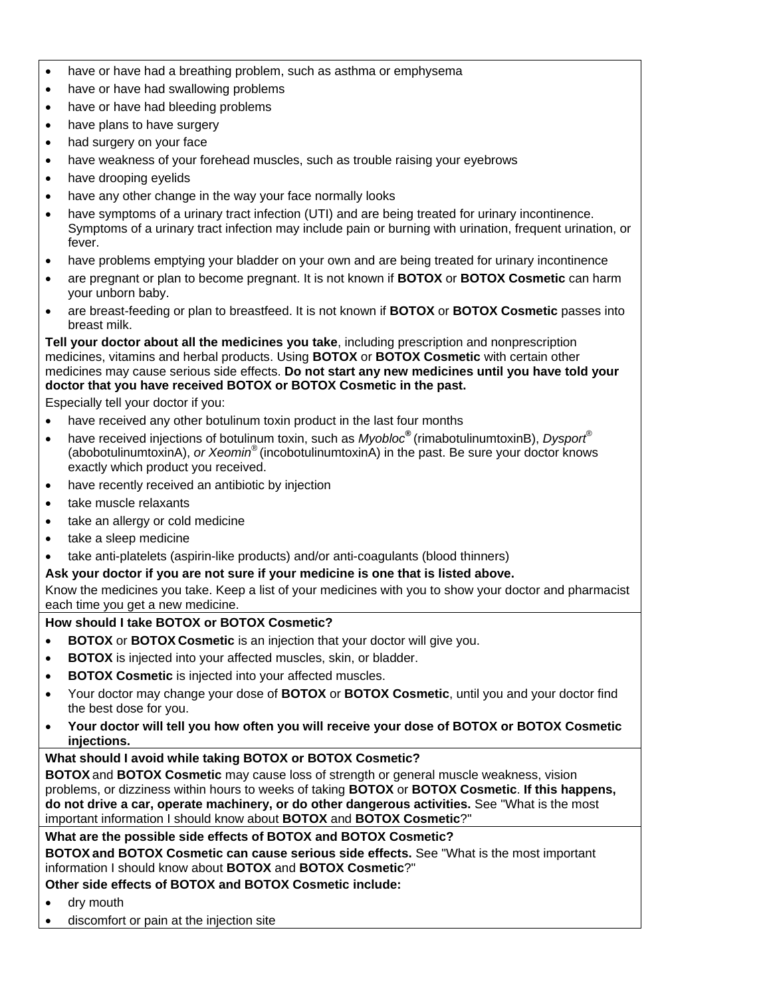- have or have had a breathing problem, such as asthma or emphysema
- have or have had swallowing problems
- have or have had bleeding problems
- have plans to have surgery
- had surgery on your face
- have weakness of your forehead muscles, such as trouble raising your eyebrows
- have drooping eyelids
- have any other change in the way your face normally looks
- have symptoms of a urinary tract infection (UTI) and are being treated for urinary incontinence. Symptoms of a urinary tract infection may include pain or burning with urination, frequent urination, or fever.
- have problems emptying your bladder on your own and are being treated for urinary incontinence
- are pregnant or plan to become pregnant. It is not known if **BOTOX** or **BOTOX Cosmetic** can harm your unborn baby.
- are breast-feeding or plan to breastfeed. It is not known if **BOTOX** or **BOTOX Cosmetic** passes into breast milk.
- **Tell your doctor about all the medicines you take**, including prescription and nonprescription medicines, vitamins and herbal products. Using **BOTOX** or **BOTOX Cosmetic** with certain other medicines may cause serious side effects. **Do not start any new medicines until you have told your doctor that you have received BOTOX or BOTOX Cosmetic in the past.**

Especially tell your doctor if you:

- have received any other botulinum toxin product in the last four months
- have received injections of botulinum toxin, such as *Myobloc***®** (rimabotulinumtoxinB), *Dysport*® (abobotulinumtoxinA), *or Xeomin®* (incobotulinumtoxinA) in the past. Be sure your doctor knows exactly which product you received.
- have recently received an antibiotic by injection
- take muscle relaxants
- take an allergy or cold medicine
- take a sleep medicine
- take anti-platelets (aspirin-like products) and/or anti-coagulants (blood thinners)

# **Ask your doctor if you are not sure if your medicine is one that is listed above.**

Know the medicines you take. Keep a list of your medicines with you to show your doctor and pharmacist each time you get a new medicine.

# **How should I take BOTOX or BOTOX Cosmetic?**

- **BOTOX** or **BOTOX Cosmetic** is an injection that your doctor will give you.
- **BOTOX** is injected into your affected muscles, skin, or bladder.
- **BOTOX Cosmetic** is injected into your affected muscles.
- Your doctor may change your dose of **BOTOX** or **BOTOX Cosmetic**, until you and your doctor find the best dose for you.
- **Your doctor will tell you how often you will receive your dose of BOTOX or BOTOX Cosmetic injections.**

# **What should I avoid while taking BOTOX or BOTOX Cosmetic?**

**BOTOX** and **BOTOX Cosmetic** may cause loss of strength or general muscle weakness, vision problems, or dizziness within hours to weeks of taking **BOTOX** or **BOTOX Cosmetic**. **If this happens, do not drive a car, operate machinery, or do other dangerous activities.** See "What is the most important information I should know about **BOTOX** and **BOTOX Cosmetic**?"

# **What are the possible side effects of BOTOX and BOTOX Cosmetic?**

**BOTOX and BOTOX Cosmetic can cause serious side effects.** See "What is the most important information I should know about **BOTOX** and **BOTOX Cosmetic**?"

**Other side effects of BOTOX and BOTOX Cosmetic include:** 

- dry mouth
- discomfort or pain at the injection site